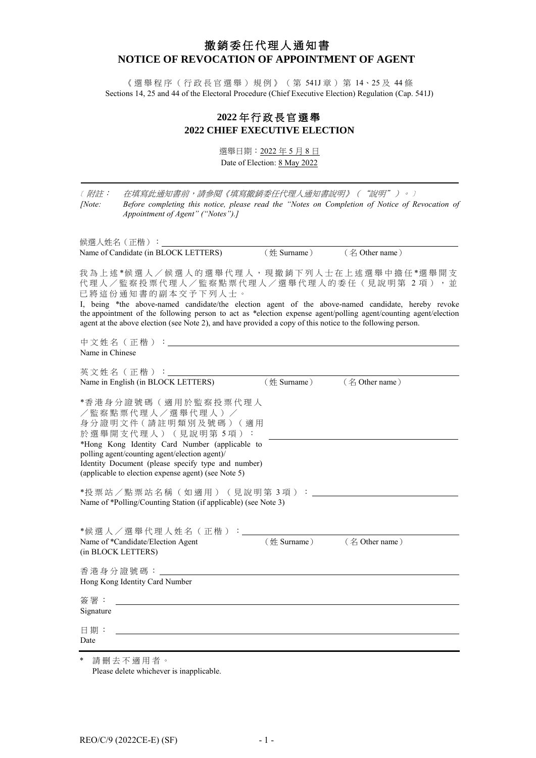# 撤銷委任代理人通知書 **NOTICE OF REVOCATION OF APPOINTMENT OF AGENT**

《選舉程序(行政長官選舉)規例》(第 541J 章)第 14、25 及 44 條 Sections 14, 25 and 44 of the Electoral Procedure (Chief Executive Election) Regulation (Cap. 541J)

## **2022** 年 行政長官選舉 **2022 CHIEF EXECUTIVE ELECTION**

選舉日期: 2022年5月8日 Date of Election: 8 May 2022

| (附註:<br>[Note:     | 在填寫此通知書前,請參閱《填寫撤銷委任代理人通知書說明》("說明")。)<br>Before completing this notice, please read the "Notes on Completion of Notice of Revocation of<br>Appointment of Agent" ("Notes").]                                                                                                                                                                                                                                                                   |
|--------------------|-----------------------------------------------------------------------------------------------------------------------------------------------------------------------------------------------------------------------------------------------------------------------------------------------------------------------------------------------------------------------------------------------------------------------------------------------|
|                    | 候選人姓名(正楷):_____<br>(名 Other name)<br>Name of Candidate (in BLOCK LETTERS)<br>$(\n#$ Surname)                                                                                                                                                                                                                                                                                                                                                  |
|                    | 我為上述*候選人/候選人的選舉代理人,現撤銷下列人士在上述選舉中擔任*選舉開支<br>代理人/監察投票代理人/監察點票代理人/選舉代理人的委任(見說明第2項),並<br>已將這份通知書的副本交予下列人士。<br>I, being *the above-named candidate/the election agent of the above-named candidate, hereby revoke<br>the appointment of the following person to act as *election expense agent/polling agent/counting agent/election<br>agent at the above election (see Note 2), and have provided a copy of this notice to the following person. |
| Name in Chinese    | 中文姓名(正楷):__________________                                                                                                                                                                                                                                                                                                                                                                                                                   |
|                    | 英文姓名(正楷):_______<br>Name in English (in BLOCK LETTERS)<br>$(\n#$ Surname)<br>(名 Other name)                                                                                                                                                                                                                                                                                                                                                   |
|                    | *香港身分證號碼 (適用於監察投票代理人<br>/監察點票代理人/選舉代理人)/<br>身分證明文件 (請註明類別及號碼)(適用<br>於選舉開支代理人)(見說明第5項):<br>*Hong Kong Identity Card Number (applicable to<br>polling agent/counting agent/election agent)/<br>Identity Document (please specify type and number)<br>(applicable to election expense agent) (see Note 5)                                                                                                                                        |
|                    | *投票站/點票站名稱(如適用)(見說明第3項):<br>Name of *Polling/Counting Station (if applicable) (see Note 3)                                                                                                                                                                                                                                                                                                                                                    |
| (in BLOCK LETTERS) | *候選人/選舉代理人姓名(正楷)<br>(名 Other name)<br>Name of *Candidate/Election Agent<br>(姓 Surname)                                                                                                                                                                                                                                                                                                                                                        |
| 香港身分證號碼:           | Hong Kong Identity Card Number                                                                                                                                                                                                                                                                                                                                                                                                                |
| 簽署:<br>Signature   |                                                                                                                                                                                                                                                                                                                                                                                                                                               |
| 日期:<br>Date        |                                                                                                                                                                                                                                                                                                                                                                                                                                               |
|                    |                                                                                                                                                                                                                                                                                                                                                                                                                                               |

\* 請刪去不適用者 。 Please delete whichever is inapplicable.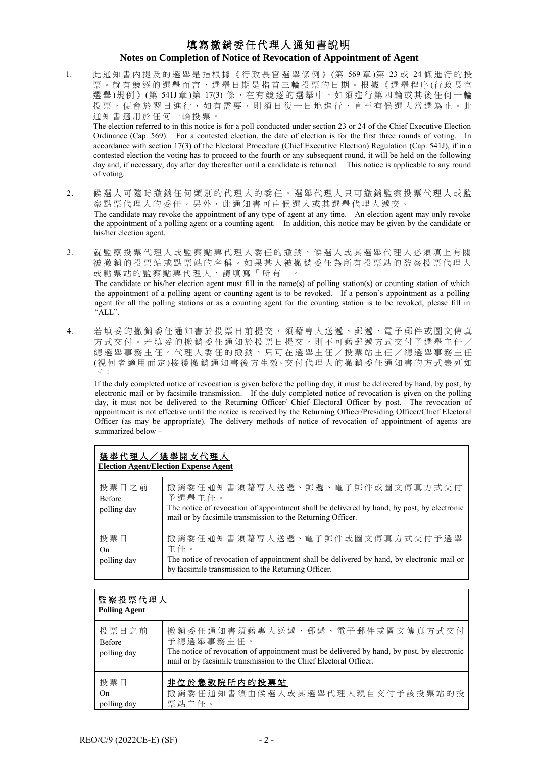## 填寫撤銷委任代理人通知書說明 **Notes on Completion of Notice of Revocation of Appointment of Agent**

1. 此 通 知 書 內提及的 選 舉 是指根據《行政長官選舉條例》 (第 569 章 )第 23 或 24 條進行 的 投 票 。 就 有 競 逐 的 選 舉 而 言 , 選舉日期 是指首三輪投票的日期。根據《選舉程序 (行政長官 選舉)規例》(第541J章)第17(3)條,在有競逐的選舉中,如須進行第四輪或其後任何一輪 投票,便會於翌日進行,如有需要,則須日復一日地進行,直至有候選人當選為止。此 通知書適用於任何一輪投票。

The election referred to in this notice is for a poll conducted under section 23 or 24 of the Chief Executive Election Ordinance (Cap. 569). For a contested election, the date of election is for the first three rounds of voting. In accordance with section 17(3) of the Electoral Procedure (Chief Executive Election) Regulation (Cap. 541J), if in a contested election the voting has to proceed to the fourth or any subsequent round, it will be held on the following day and, if necessary, day after day thereafter until a candidate is returned. This notice is applicable to any round of voting.

- 2. 候選人可 隨 時 撤銷任何類別的代理人的委任。選舉代理人只可撤銷監察投票代理人或監 察點票代理人的委任。另外,此通知書可由候選人或其選舉代理人遞交。 The candidate may revoke the appointment of any type of agent at any time. An election agent may only revoke the appointment of a polling agent or a counting agent. In addition, this notice may be given by the candidate or his/her election agent.
- 3. 就監察投票代理人或監察點票代理人委任的撤銷,候選人或其選舉代理人必須填上有關 被撤銷的投票站或點票站的名稱。如果某人被撤銷委任為所有投票站的監察投票代理人 或點票站的監察點票代理人,請填寫「所有」。 The candidate or his/her election agent must fill in the name(s) of polling station(s) or counting station of which the appointment of a polling agent or counting agent is to be revoked. If a person's appointment as a polling agent for all the polling stations or as a counting agent for the counting station is to be revoked, please fill in "ALL".
- 4. 若填妥的撤銷委任通知書於投票日前提交, 須藉專人送遞、郵遞、電子郵件或圖文傳真 方式交付。若填妥的撤銷委任通知於投票日提交,則不可藉郵遞方式交付予選舉主任/ 總選舉事務 主 任 。代理人委任的撤銷,只可在選舉主任/投票站主任/總選舉事務主任 (視何者適用而定 )接 獲 撤銷通知 書 後 方 生 效。交 付 代理人的撤銷委任通知書的方式表列如 下 :

If the duly completed notice of revocation is given before the polling day, it must be delivered by hand, by post, by electronic mail or by facsimile transmission. If the duly completed notice of revocation is given on the polling day, it must not be delivered to the Returning Officer/ Chief Electoral Officer by post. The revocation of appointment is not effective until the notice is received by the Returning Officer/Presiding Officer/Chief Electoral Officer (as may be appropriate). The delivery methods of notice of revocation of appointment of agents are summarized below –

| 選舉代理人/選舉開支代理人<br><b>Election Agent/Election Expense Agent</b> |                                                                                                                                                                                                       |  |
|---------------------------------------------------------------|-------------------------------------------------------------------------------------------------------------------------------------------------------------------------------------------------------|--|
| 投票日之前<br><b>Before</b><br>polling day                         | 撤銷委任通知書須藉專人送遞、郵遞、電子郵件或圖文傳真方式交付<br>予選舉主任。<br>The notice of revocation of appointment shall be delivered by hand, by post, by electronic<br>mail or by facsimile transmission to the Returning Officer. |  |
| 投 票 日<br>On.<br>polling day                                   | 撤銷委任通知書須藉專人送遞、電子郵件或圖文傳真方式交付予選舉<br>主任。<br>The notice of revocation of appointment shall be delivered by hand, by electronic mail or<br>by facsimile transmission to the Returning Officer.             |  |

| 監察投票代理人<br><b>Polling Agent</b>       |                                                                                                                                                                                                               |  |
|---------------------------------------|---------------------------------------------------------------------------------------------------------------------------------------------------------------------------------------------------------------|--|
| 投票日之前<br><b>Before</b><br>polling day | 撤銷委任通知書須藉專人送遞、郵遞、電子郵件或圖文傳真方式交付<br>予總選舉事務主任。<br>The notice of revocation of appointment must be delivered by hand, by post, by electronic<br>mail or by facsimile transmission to the Chief Electoral Officer. |  |
| 投票日<br>On.<br>polling day             | 非位於懲教院所内的投票站<br>撤銷委任通知書須由候選人或其選舉代理人親自交付予該投票站的投<br>票站主任。                                                                                                                                                       |  |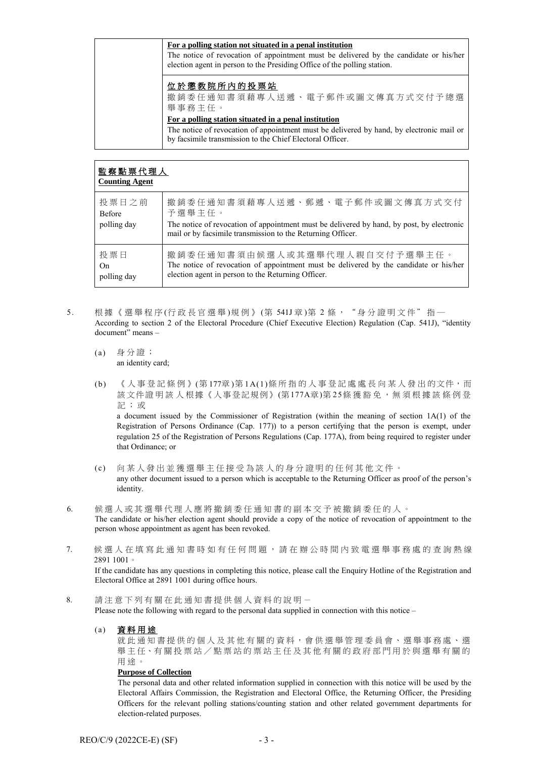| For a polling station not situated in a penal institution<br>The notice of revocation of appointment must be delivered by the candidate or his/her<br>election agent in person to the Presiding Office of the polling station. |
|--------------------------------------------------------------------------------------------------------------------------------------------------------------------------------------------------------------------------------|
| 位於懲教院所内的投票站<br>撤銷委任通知書須藉專人送遞、電子郵件或圖文傳真方式交付予總選<br>舉事務主任。                                                                                                                                                                        |
| For a polling station situated in a penal institution                                                                                                                                                                          |
| The notice of revocation of appointment must be delivered by hand, by electronic mail or<br>by facsimile transmission to the Chief Electoral Officer.                                                                          |

| 監察點票代理人<br><b>Counting Agent</b>      |                                                                                                                                                                                                          |  |  |
|---------------------------------------|----------------------------------------------------------------------------------------------------------------------------------------------------------------------------------------------------------|--|--|
| 投票日之前<br><b>Before</b><br>polling day | 撤銷委任通知書須藉專人送遞、郵遞、電子郵件或圖文傳真方式交付<br>予選舉主任。<br>The notice of revocation of appointment must be delivered by hand, by post, by electronic<br>mail or by facsimile transmission to the Returning Officer.     |  |  |
| 投票日<br>On.<br>polling day             | 撤 銷 委 任 通 知 書 須 由 候 選 人 或 其 選 舉 代 理 人 親 自 交 付 予 選 舉 主 任 。<br>The notice of revocation of appointment must be delivered by the candidate or his/her<br>election agent in person to the Returning Officer. |  |  |

- 5. 根據《選舉程序(行政長官選舉)規例》(第541J章)第2條, "身分證明文件"指一 According to section 2 of the Electoral Procedure (Chief Executive Election) Regulation (Cap. 541J), "identity document" means –
	- (a) 身分證; an identity card;
	- (b) 《人事登記條例》(第 177章 )第 1A(1)條所指的 人事登記處 處 長 向某人發出 的文件,而 該文件證明該人根據《人事登記規例》(第177A章)第25條獲豁免,無須根據該條例登 記 ; 或

a document issued by the Commissioner of Registration (within the meaning of section 1A(1) of the Registration of Persons Ordinance (Cap. 177)) to a person certifying that the person is exempt, under regulation 25 of the Registration of Persons Regulations (Cap. 177A), from being required to register under that Ordinance; or

- (c) 向某人發出 並 獲選舉主任接受為該人的身分證明的任何其他文件。 any other document issued to a person which is acceptable to the Returning Officer as proof of the person's identity.
- 6. 候選人或其選舉代理人應將撤銷委任通知 書 的副本交予被撤銷委任的人。 The candidate or his/her election agent should provide a copy of the notice of revocation of appointment to the person whose appointment as agent has been revoked.
- 7. 候選人在填寫此通知書時如有任何問題,請在辦公時間內致電選舉事務處的查詢熱線 2891 1001。

If the candidate has any questions in completing this notice, please call the Enquiry Hotline of the Registration and Electoral Office at 2891 1001 during office hours.

- 8. 請 注意下列有關 在此通知書提供 個人資料的說明- Please note the following with regard to the personal data supplied in connection with this notice –
	- (a) 資料用途

就此通知書提供的個人及其他有關的資料,會供選舉管理委員會、選舉事務處、選 舉主任、有關投票站/點票站的票站主任及其他有關的政府部門用於與選舉有關的 用途。

#### **Purpose of Collection**

The personal data and other related information supplied in connection with this notice will be used by the Electoral Affairs Commission, the Registration and Electoral Office, the Returning Officer, the Presiding Officers for the relevant polling stations/counting station and other related government departments for election-related purposes.